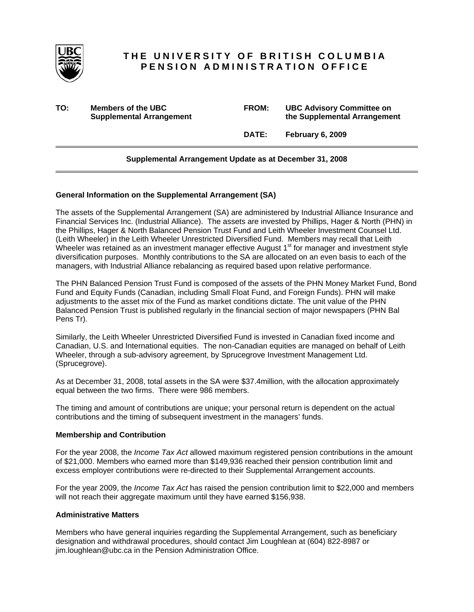

# **THE UNIVERSITY OF BRITISH COLUMBIA PENSION ADMINISTRATION OFFICE**

**TO: Members of the UBC FROM: UBC Advisory Committee on Supplemental Arrangement 12 Consumer 12 Consumer 12 Consumer 12 Consumer 12 Consumer 12 Consumer 12 Consumer 2 Consumer 2 Consumer 2 Consumer 2 Consumer 2 Consumer 2 Consumer 2 Consumer 2 Consumer 2 Consumer 2 Consumer 2** 

 **DATE: February 6, 2009** 

## **Supplemental Arrangement Update as at December 31, 2008**

### **General Information on the Supplemental Arrangement (SA)**

The assets of the Supplemental Arrangement (SA) are administered by Industrial Alliance Insurance and Financial Services Inc. (Industrial Alliance). The assets are invested by Phillips, Hager & North (PHN) in the Phillips, Hager & North Balanced Pension Trust Fund and Leith Wheeler Investment Counsel Ltd. (Leith Wheeler) in the Leith Wheeler Unrestricted Diversified Fund. Members may recall that Leith Wheeler was retained as an investment manager effective August  $1<sup>st</sup>$  for manager and investment style diversification purposes. Monthly contributions to the SA are allocated on an even basis to each of the managers, with Industrial Alliance rebalancing as required based upon relative performance.

The PHN Balanced Pension Trust Fund is composed of the assets of the PHN Money Market Fund, Bond Fund and Equity Funds (Canadian, including Small Float Fund, and Foreign Funds). PHN will make adjustments to the asset mix of the Fund as market conditions dictate. The unit value of the PHN Balanced Pension Trust is published regularly in the financial section of major newspapers (PHN Bal Pens Tr).

Similarly, the Leith Wheeler Unrestricted Diversified Fund is invested in Canadian fixed income and Canadian, U.S. and International equities. The non-Canadian equities are managed on behalf of Leith Wheeler, through a sub-advisory agreement, by Sprucegrove Investment Management Ltd. (Sprucegrove).

As at December 31, 2008, total assets in the SA were \$37.4million, with the allocation approximately equal between the two firms. There were 986 members.

The timing and amount of contributions are unique; your personal return is dependent on the actual contributions and the timing of subsequent investment in the managers' funds.

#### **Membership and Contribution**

For the year 2008, the *Income Tax Act* allowed maximum registered pension contributions in the amount of \$21,000. Members who earned more than \$149,936 reached their pension contribution limit and excess employer contributions were re-directed to their Supplemental Arrangement accounts.

For the year 2009, the *Income Tax Act* has raised the pension contribution limit to \$22,000 and members will not reach their aggregate maximum until they have earned \$156,938.

#### **Administrative Matters**

Members who have general inquiries regarding the Supplemental Arrangement, such as beneficiary designation and withdrawal procedures, should contact Jim Loughlean at (604) 822-8987 or jim.loughlean@ubc.ca in the Pension Administration Office.